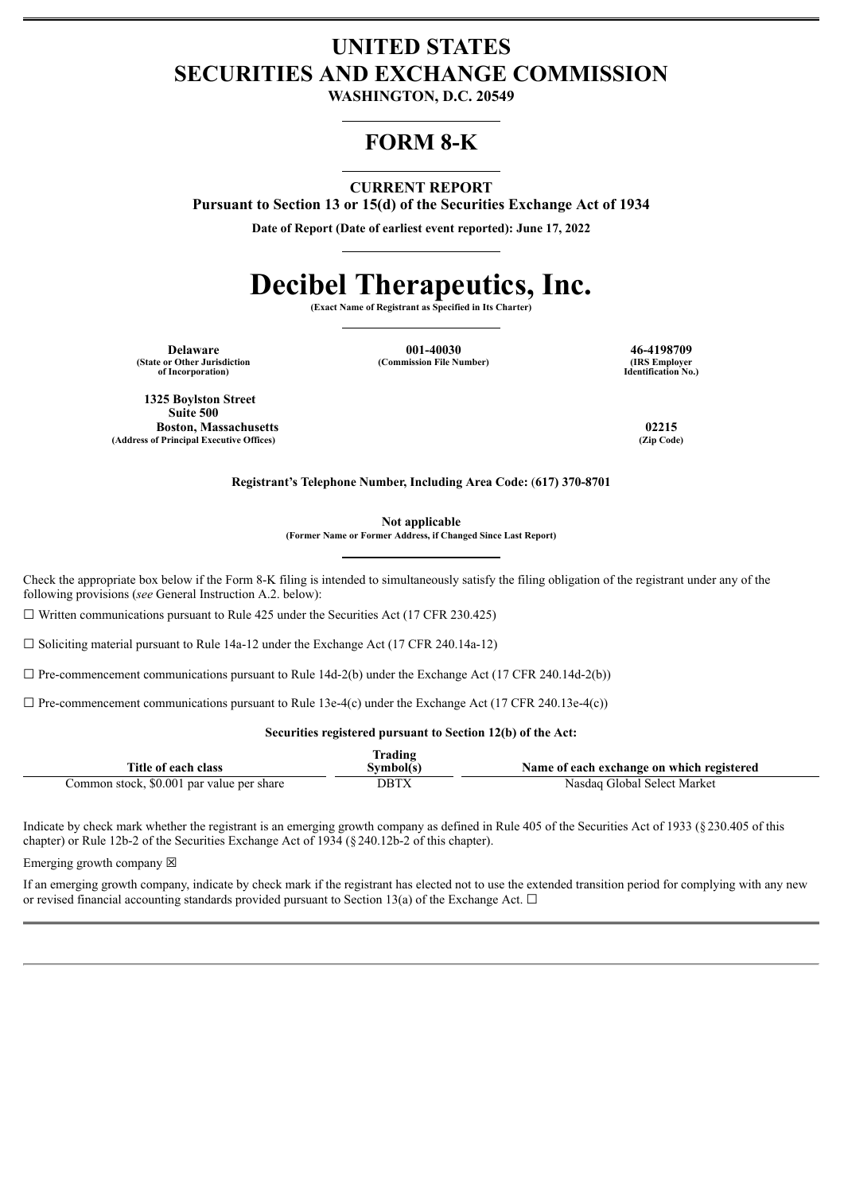# **UNITED STATES SECURITIES AND EXCHANGE COMMISSION**

**WASHINGTON, D.C. 20549**

# **FORM 8-K**

## **CURRENT REPORT**

**Pursuant to Section 13 or 15(d) of the Securities Exchange Act of 1934**

**Date of Report (Date of earliest event reported): June 17, 2022**

# **Decibel Therapeutics, Inc.**

**(Exact Name of Registrant as Specified in Its Charter)**

**(State or Other Jurisdiction of Incorporation)**

**Delaware 16-4198709 1-40030 146-4198709 46-4198709 46-4198709 1.100 40.4198709 1.100 40.4198709 1.100 40.4198709 (Commission File Number)** 

**Identification No.)**

**1325 Boylston Street Suite 500 Boston, Massachusetts 02215 (Address of Principal Executive Offices) (Zip Code)**

**Registrant's Telephone Number, Including Area Code:** (**617) 370-8701**

**Not applicable**

**(Former Name or Former Address, if Changed Since Last Report)**

Check the appropriate box below if the Form 8-K filing is intended to simultaneously satisfy the filing obligation of the registrant under any of the following provisions (*see* General Instruction A.2. below):

 $\Box$  Written communications pursuant to Rule 425 under the Securities Act (17 CFR 230.425)

 $\Box$  Soliciting material pursuant to Rule 14a-12 under the Exchange Act (17 CFR 240.14a-12)

 $\Box$  Pre-commencement communications pursuant to Rule 14d-2(b) under the Exchange Act (17 CFR 240.14d-2(b))

 $\Box$  Pre-commencement communications pursuant to Rule 13e-4(c) under the Exchange Act (17 CFR 240.13e-4(c))

#### **Securities registered pursuant to Section 12(b) of the Act:**

|                                           | rading   |                                           |
|-------------------------------------------|----------|-------------------------------------------|
| Title of each class                       | Svmbol(s | Name of each exchange on which registered |
| Common stock, \$0.001 par value per share | DBTX     | Nasdag Global Select Market               |

Indicate by check mark whether the registrant is an emerging growth company as defined in Rule 405 of the Securities Act of 1933 (§230.405 of this chapter) or Rule 12b-2 of the Securities Exchange Act of 1934 (§240.12b-2 of this chapter).

Emerging growth company  $\boxtimes$ 

If an emerging growth company, indicate by check mark if the registrant has elected not to use the extended transition period for complying with any new or revised financial accounting standards provided pursuant to Section 13(a) of the Exchange Act.  $\Box$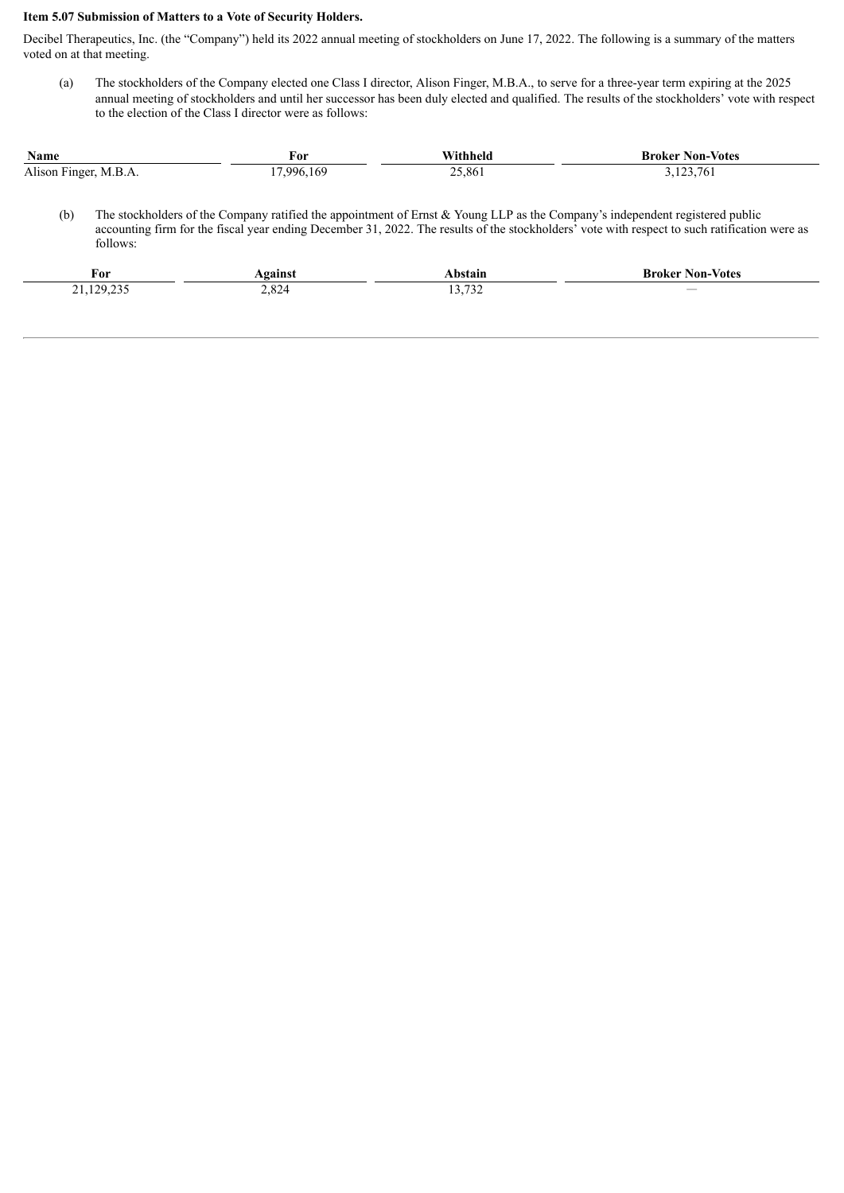### **Item 5.07 Submission of Matters to a Vote of Security Holders.**

Decibel Therapeutics, Inc. (the "Company") held its 2022 annual meeting of stockholders on June 17, 2022. The following is a summary of the matters voted on at that meeting.

(a) The stockholders of the Company elected one Class I director, Alison Finger, M.B.A., to serve for a three-year term expiring at the 2025 annual meeting of stockholders and until her successor has been duly elected and qualified. The results of the stockholders' vote with respect to the election of the Class I director were as follows:

| <b>Name</b>           | For        | Withheld | <b>Broker Non-Votes</b> |
|-----------------------|------------|----------|-------------------------|
| Alison Finger, M.B.A. | 17.996.169 | 25,861   | 3,123,761               |

(b) The stockholders of the Company ratified the appointment of Ernst & Young LLP as the Company's independent registered public accounting firm for the fiscal year ending December 31, 2022. The results of the stockholders' vote with respect to such ratification were as follows:

| †or       |                          | и н                        | Non<br>Kroker<br>-Vote: |
|-----------|--------------------------|----------------------------|-------------------------|
| ່າດ<br>-- | $\cdot$<br>$\sim$ $\sim$ | $\sim$<br>, <i>, , , ,</i> |                         |